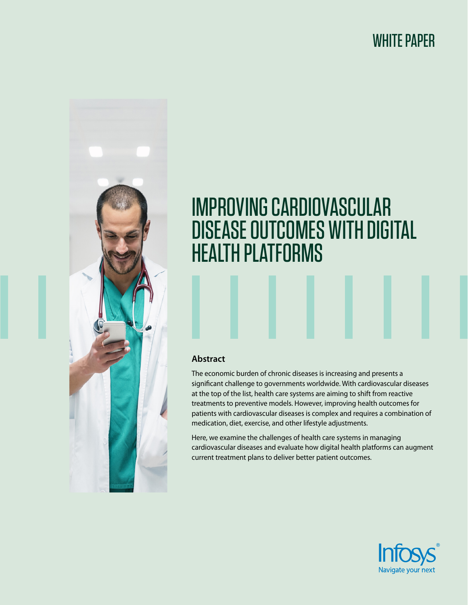## WHITE PAPER



# IMPROVING CARDIOVASCULAR DISEASE OUTCOMES WITH DIGITAL HEALTH PLATFORMS

#### **Abstract**

The economic burden of chronic diseases is increasing and presents a significant challenge to governments worldwide. With cardiovascular diseases at the top of the list, health care systems are aiming to shift from reactive treatments to preventive models. However, improving health outcomes for patients with cardiovascular diseases is complex and requires a combination of medication, diet, exercise, and other lifestyle adjustments.

Here, we examine the challenges of health care systems in managing cardiovascular diseases and evaluate how digital health platforms can augment current treatment plans to deliver better patient outcomes.

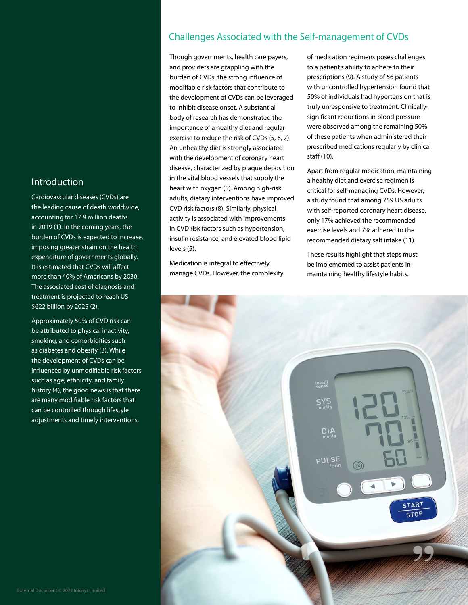#### Introduction

Cardiovascular diseases (CVDs) are the leading cause of death worldwide, accounting for 17.9 million deaths in 2019 (1). In the coming years, the burden of CVDs is expected to increase, imposing greater strain on the health expenditure of governments globally. It is estimated that CVDs will affect more than 40% of Americans by 2030. The associated cost of diagnosis and treatment is projected to reach US \$622 billion by 2025 (2).

Approximately 50% of CVD risk can be attributed to physical inactivity, smoking, and comorbidities such as diabetes and obesity (3). While the development of CVDs can be influenced by unmodifiable risk factors such as age, ethnicity, and family history (4), the good news is that there are many modifiable risk factors that can be controlled through lifestyle adjustments and timely interventions.

### Challenges Associated with the Self-management of CVDs

Though governments, health care payers, and providers are grappling with the burden of CVDs, the strong influence of modifiable risk factors that contribute to the development of CVDs can be leveraged to inhibit disease onset. A substantial body of research has demonstrated the importance of a healthy diet and regular exercise to reduce the risk of CVDs (5, 6, 7). An unhealthy diet is strongly associated with the development of coronary heart disease, characterized by plaque deposition in the vital blood vessels that supply the heart with oxygen (5). Among high-risk adults, dietary interventions have improved CVD risk factors (8). Similarly, physical activity is associated with improvements in CVD risk factors such as hypertension, insulin resistance, and elevated blood lipid levels (5).

Medication is integral to effectively manage CVDs. However, the complexity

of medication regimens poses challenges to a patient's ability to adhere to their prescriptions (9). A study of 56 patients with uncontrolled hypertension found that 50% of individuals had hypertension that is truly unresponsive to treatment. Clinicallysignificant reductions in blood pressure were observed among the remaining 50% of these patients when administered their prescribed medications regularly by clinical staff (10).

Apart from regular medication, maintaining a healthy diet and exercise regimen is critical for self-managing CVDs. However, a study found that among 759 US adults with self-reported coronary heart disease, only 17% achieved the recommended exercise levels and 7% adhered to the recommended dietary salt intake (11).

These results highlight that steps must be implemented to assist patients in maintaining healthy lifestyle habits.

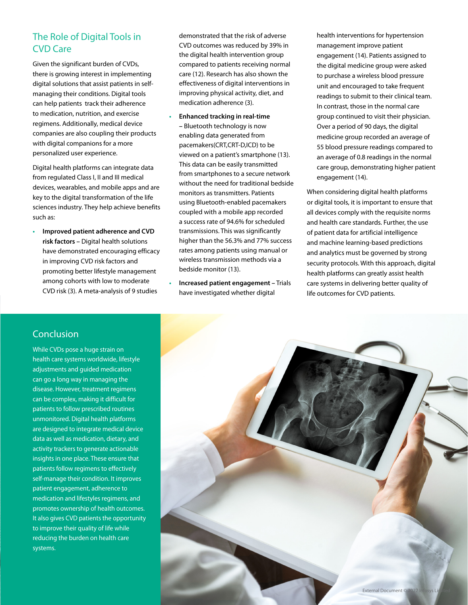### The Role of Digital Tools in CVD Care

Given the significant burden of CVDs, there is growing interest in implementing digital solutions that assist patients in selfmanaging their conditions. Digital tools can help patients track their adherence to medication, nutrition, and exercise regimens. Additionally, medical device companies are also coupling their products with digital companions for a more personalized user experience.

Digital health platforms can integrate data from regulated Class I, II and III medical devices, wearables, and mobile apps and are key to the digital transformation of the life sciences industry. They help achieve benefits such as:

**• Improved patient adherence and CVD risk factors –** Digital health solutions have demonstrated encouraging efficacy in improving CVD risk factors and promoting better lifestyle management among cohorts with low to moderate CVD risk (3). A meta-analysis of 9 studies

demonstrated that the risk of adverse CVD outcomes was reduced by 39% in the digital health intervention group compared to patients receiving normal care (12). Research has also shown the effectiveness of digital interventions in improving physical activity, diet, and medication adherence (3).

- **• Enhanced tracking in real-time –** Bluetooth technology is now enabling data generated from pacemakers(CRT,CRT-D,ICD) to be viewed on a patient's smartphone (13). This data can be easily transmitted from smartphones to a secure network without the need for traditional bedside monitors as transmitters. Patients using Bluetooth-enabled pacemakers coupled with a mobile app recorded a success rate of 94.6% for scheduled transmissions. This was significantly higher than the 56.3% and 77% success rates among patients using manual or wireless transmission methods via a bedside monitor (13).
- **• Increased patient engagement –** Trials have investigated whether digital

health interventions for hypertension management improve patient engagement (14). Patients assigned to the digital medicine group were asked to purchase a wireless blood pressure unit and encouraged to take frequent readings to submit to their clinical team. In contrast, those in the normal care group continued to visit their physician. Over a period of 90 days, the digital medicine group recorded an average of 55 blood pressure readings compared to an average of 0.8 readings in the normal care group, demonstrating higher patient engagement (14).

When considering digital health platforms or digital tools, it is important to ensure that all devices comply with the requisite norms and health care standards. Further, the use of patient data for artificial intelligence and machine learning-based predictions and analytics must be governed by strong security protocols. With this approach, digital health platforms can greatly assist health care systems in delivering better quality of life outcomes for CVD patients.

#### **Conclusion**

While CVDs pose a huge strain on health care systems worldwide, lifestyle adjustments and guided medication can go a long way in managing the disease. However, treatment regimens can be complex, making it difficult for patients to follow prescribed routines unmonitored. Digital health platforms are designed to integrate medical device data as well as medication, dietary, and activity trackers to generate actionable insights in one place. These ensure that patients follow regimens to effectively self-manage their condition. It improves patient engagement, adherence to medication and lifestyles regimens, and promotes ownership of health outcomes. It also gives CVD patients the opportunity to improve their quality of life while reducing the burden on health care systems.